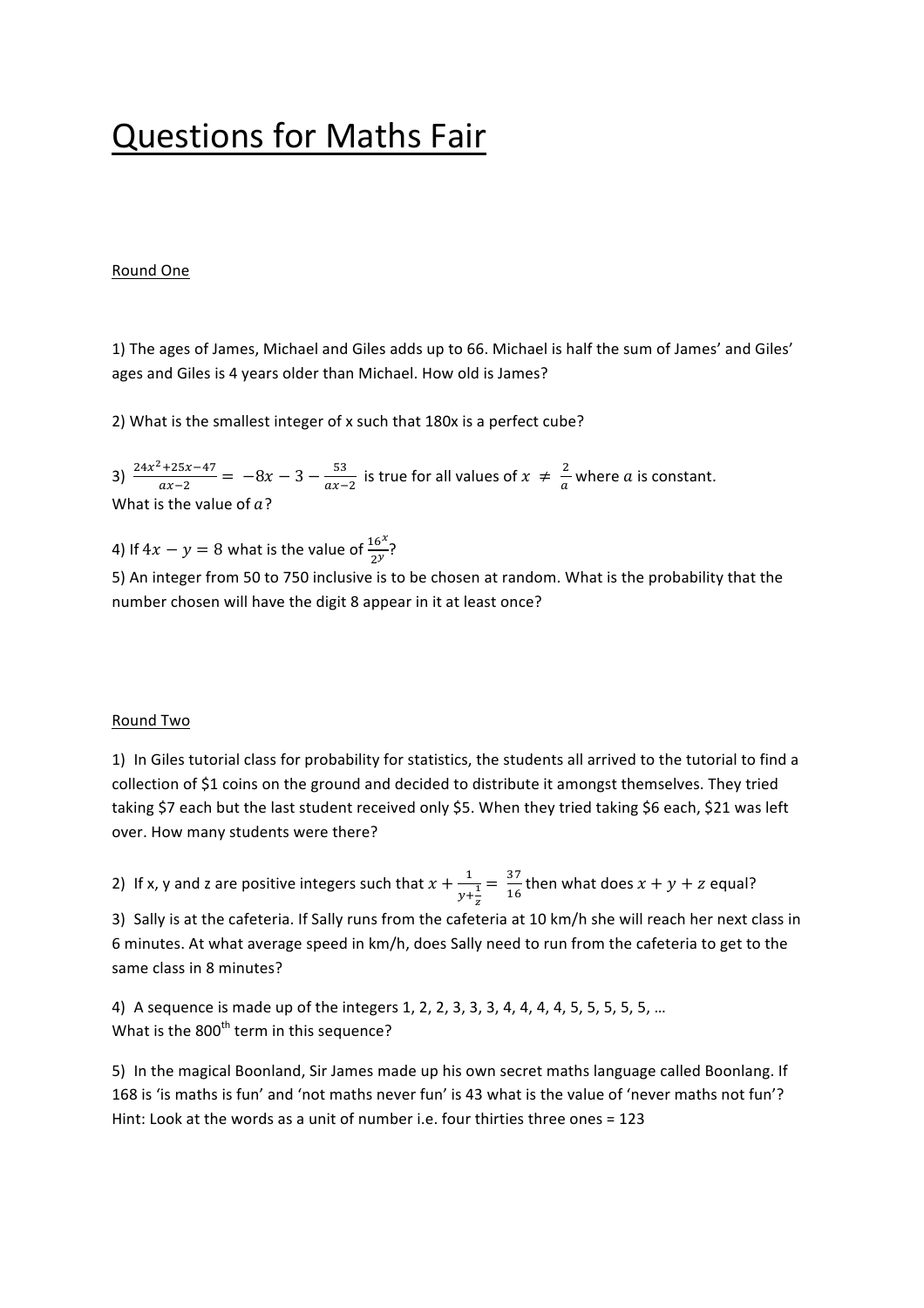# **Questions for Maths Fair**

### **Round One**

1) The ages of James, Michael and Giles adds up to 66. Michael is half the sum of James' and Giles' ages and Giles is 4 years older than Michael. How old is James?

2) What is the smallest integer of x such that 180x is a perfect cube?

3)  $\frac{24x^2+25x-47}{ax-2} = -8x - 3 - \frac{53}{ax-2}$  is true for all values of  $x \neq \frac{2}{a}$  where a is constant. What is the value of  $a$ ?

4) If  $4x - y = 8$  what is the value of  $\frac{16^x}{2^y}$ ?

5) An integer from 50 to 750 inclusive is to be chosen at random. What is the probability that the number chosen will have the digit 8 appear in it at least once?

#### Round Two

1) In Giles tutorial class for probability for statistics, the students all arrived to the tutorial to find a collection of \$1 coins on the ground and decided to distribute it amongst themselves. They tried taking \$7 each but the last student received only \$5. When they tried taking \$6 each, \$21 was left over. How many students were there?

2) If x, y and z are positive integers such that  $x + \frac{1}{y + \frac{1}{z}}$  $=\frac{37}{16}$  then what does  $x + y + z$  equal?

3) Sally is at the cafeteria. If Sally runs from the cafeteria at 10 km/h she will reach her next class in 6 minutes. At what average speed in km/h, does Sally need to run from the cafeteria to get to the same class in 8 minutes?

4) A sequence is made up of the integers 1, 2, 2, 3, 3, 3, 4, 4, 4, 4, 5, 5, 5, 5, 5, ... What is the  $800<sup>th</sup>$  term in this sequence?

5) In the magical Boonland, Sir James made up his own secret maths language called Boonlang. If 168 is 'is maths is fun' and 'not maths never fun' is 43 what is the value of 'never maths not fun'? Hint: Look at the words as a unit of number i.e. four thirties three ones  $= 123$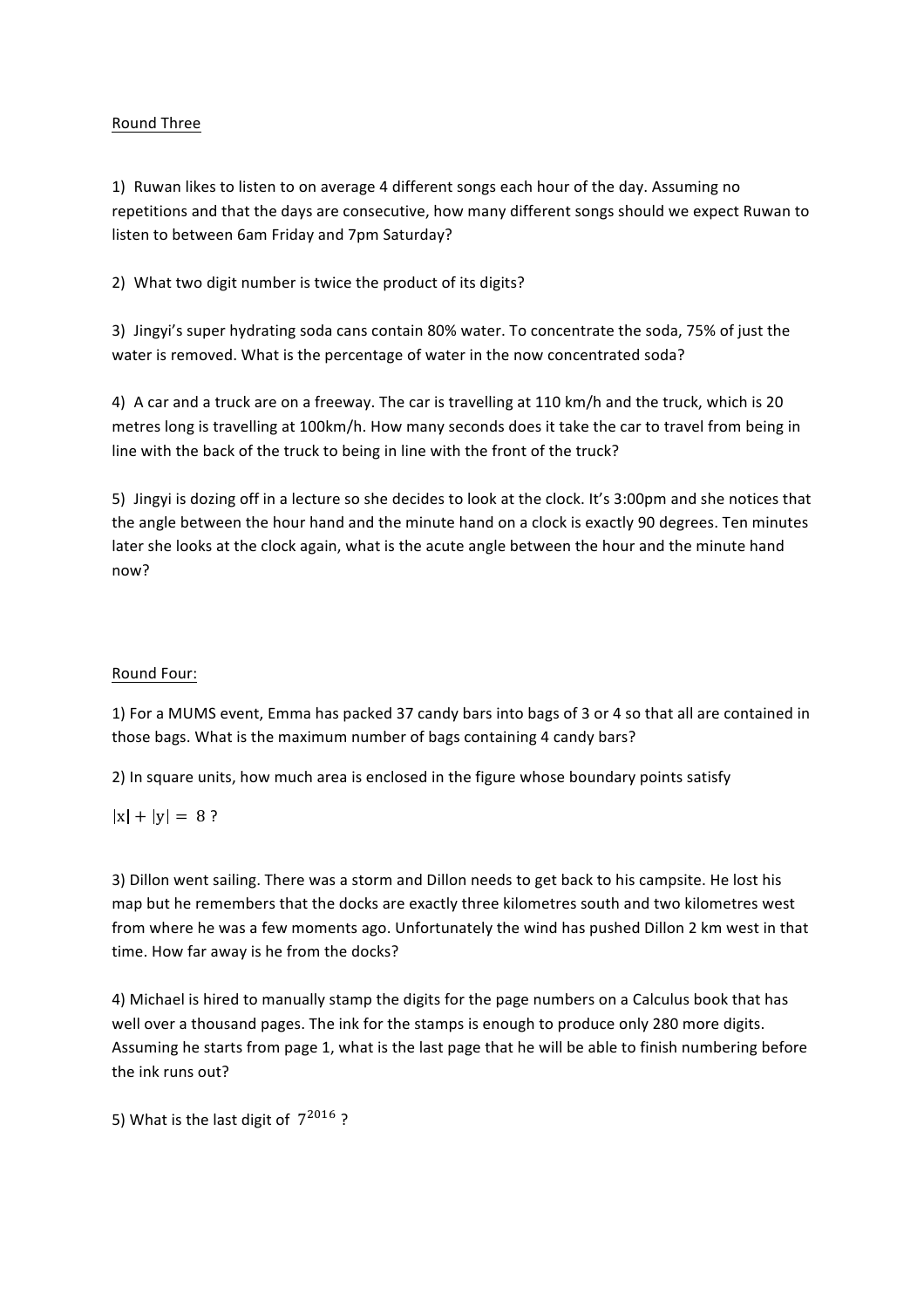#### **Round Three**

1) Ruwan likes to listen to on average 4 different songs each hour of the day. Assuming no repetitions and that the days are consecutive, how many different songs should we expect Ruwan to listen to between 6am Friday and 7pm Saturday?

2) What two digit number is twice the product of its digits?

3) Jingyi's super hydrating soda cans contain 80% water. To concentrate the soda, 75% of just the water is removed. What is the percentage of water in the now concentrated soda?

4) A car and a truck are on a freeway. The car is travelling at 110 km/h and the truck, which is 20 metres long is travelling at 100km/h. How many seconds does it take the car to travel from being in line with the back of the truck to being in line with the front of the truck?

5) Jingyi is dozing off in a lecture so she decides to look at the clock. It's 3:00pm and she notices that the angle between the hour hand and the minute hand on a clock is exactly 90 degrees. Ten minutes later she looks at the clock again, what is the acute angle between the hour and the minute hand now?

#### Round Four:

1) For a MUMS event, Emma has packed 37 candy bars into bags of 3 or 4 so that all are contained in those bags. What is the maximum number of bags containing 4 candy bars?

2) In square units, how much area is enclosed in the figure whose boundary points satisfy

## $|x| + |y| = 8$ ?

3) Dillon went sailing. There was a storm and Dillon needs to get back to his campsite. He lost his map but he remembers that the docks are exactly three kilometres south and two kilometres west from where he was a few moments ago. Unfortunately the wind has pushed Dillon 2 km west in that time. How far away is he from the docks?

4) Michael is hired to manually stamp the digits for the page numbers on a Calculus book that has well over a thousand pages. The ink for the stamps is enough to produce only 280 more digits. Assuming he starts from page 1, what is the last page that he will be able to finish numbering before the ink runs out?

5) What is the last digit of  $7^{2016}$ ?